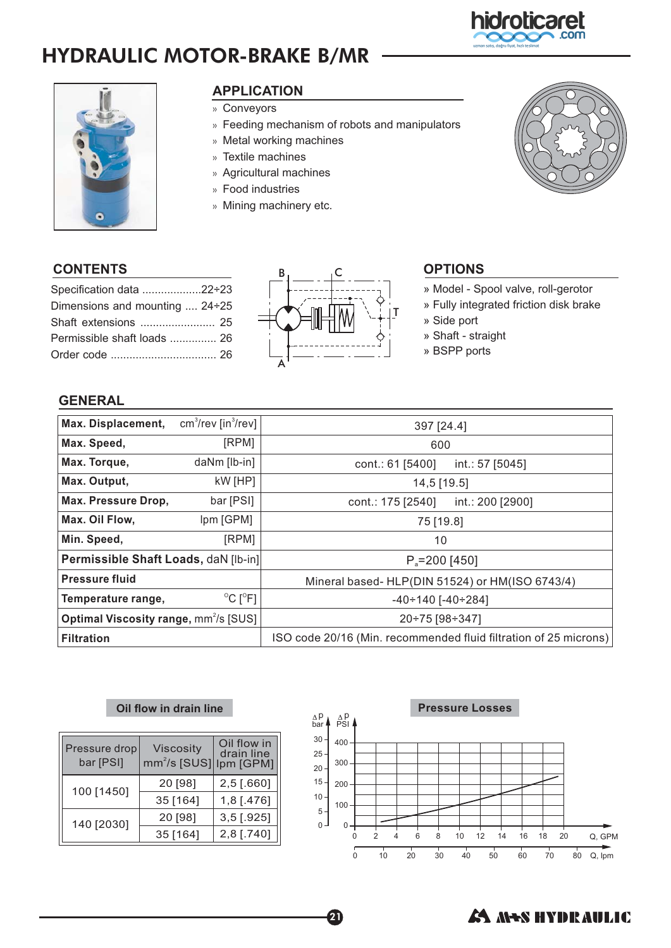# HYDRAULIC MOTOR-BRAKE B/MR



## **APPLICATION** »

- »Conveyors
- »Feeding mechanism of robots and manipulators
- $_{\tiny \rm \gg}$  Metal working machines
- Textile machines »
- » Agricultural machines
- »Food industries
- Mining machinery etc.



hidrolicaret

| Specification data 22÷23              |  |
|---------------------------------------|--|
| Dimensions and mounting $\dots$ 24÷25 |  |
| Shaft extensions  25                  |  |
| Permissible shaft loads  26           |  |
|                                       |  |



- » Model Spool valve, roll-gerotor
- » Fully integrated friction disk brake
- » Side port
- » Shaft straight
- » BSPP ports

### **GENERAL**

| Max. Displacement,                                     | $cm3/rev$ [in $3/rev$ ]      | 397 [24.4]                                                       |                  |  |
|--------------------------------------------------------|------------------------------|------------------------------------------------------------------|------------------|--|
| Max. Speed,                                            | [RPM]                        | 600                                                              |                  |  |
| Max. Torque,                                           | daNm [lb-in]                 | cont.: 61 [5400]                                                 | int.: 57 [5045]  |  |
| Max. Output,                                           | kW [HP]                      | 14,5 [19.5]                                                      |                  |  |
| Max. Pressure Drop,                                    | bar [PSI]                    | cont.: 175 [2540]                                                | int.: 200 [2900] |  |
| Max. Oil Flow,                                         | Ipm [GPM]                    | 75 [19.8]                                                        |                  |  |
| Min. Speed,                                            | [RPM]                        | 10                                                               |                  |  |
| Permissible Shaft Loads, daN [lb-in]                   |                              | $P_{\text{S}} = 200$ [450]                                       |                  |  |
| <b>Pressure fluid</b>                                  |                              | Mineral based- HLP(DIN 51524) or HM(ISO 6743/4)                  |                  |  |
| Temperature range,                                     | $^{\circ}$ C [ $^{\circ}$ F] | $-40 \div 140$ [ $-40 \div 284$ ]                                |                  |  |
| <b>Optimal Viscosity range, mm<sup>2</sup>/s [SUS]</b> |                              | 20÷75 [98÷347]                                                   |                  |  |
| <b>Filtration</b>                                      |                              | ISO code 20/16 (Min. recommended fluid filtration of 25 microns) |                  |  |

 $\boldsymbol{a}$ 

#### **Oil flow in drain line**

| Pressure drop<br>bar [PSI] | <b>Viscosity</b><br>mm <sup>2</sup> /s [SUS] Ipm [GPM] | Oil flow in<br>drain line |
|----------------------------|--------------------------------------------------------|---------------------------|
| 100 [1450]                 | 20 [98]                                                | $2,5$ [.660]              |
|                            | 35 [164]                                               | $1,8$ [.476]              |
| 140 [2030]                 | 20 [98]                                                | $3,5$ [.925]              |
|                            | 35 [164]                                               | 2,8 [.740]                |



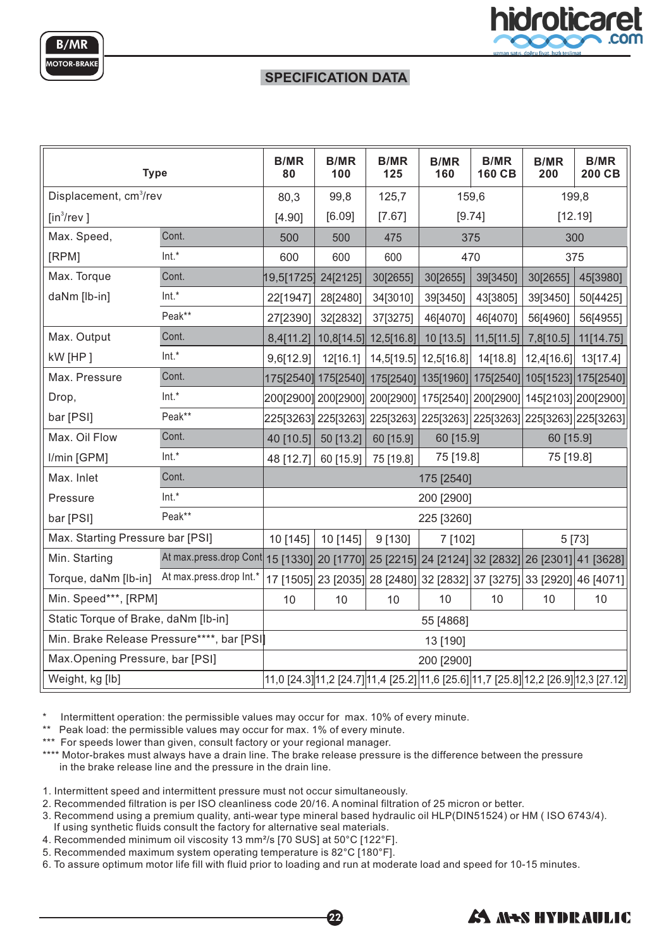



#### **SPECIFICATION DATA**

| <b>Type</b>                                |                                                                                                | <b>B/MR</b><br>80 | <b>B/MR</b><br>100 | <b>B/MR</b><br>125                                                    | <b>B/MR</b><br>160      | <b>B/MR</b><br>160 CB | <b>B/MR</b><br>200 | <b>B/MR</b><br>200 CB                                                                |
|--------------------------------------------|------------------------------------------------------------------------------------------------|-------------------|--------------------|-----------------------------------------------------------------------|-------------------------|-----------------------|--------------------|--------------------------------------------------------------------------------------|
| Displacement, cm <sup>3</sup> /rev         |                                                                                                | 80,3              | 99,8               | 125,7                                                                 |                         | 159,6                 |                    | 199,8                                                                                |
| $[in^3$ /rev]                              |                                                                                                | [4.90]            | [6.09]             | [7.67]                                                                |                         | [9.74]                |                    | [12.19]                                                                              |
| Max. Speed,                                | Cont.                                                                                          | 500               | 500                | 475                                                                   |                         | 375                   |                    | 300                                                                                  |
| [RPM]                                      | Int.*                                                                                          | 600               | 600                | 600                                                                   |                         | 470                   |                    | 375                                                                                  |
| Max. Torque                                | Cont.                                                                                          | 19,5[1725]        | 24[2125]           | 30[2655]                                                              | 30[2655]                | 39[3450]              | 30[2655]           | 45[3980]                                                                             |
| daNm [lb-in]                               | Int.*                                                                                          | 22[1947]          | 28[2480]           | 34[3010]                                                              | 39[3450]                | 43[3805]              | 39[3450]           | 50[4425]                                                                             |
|                                            | Peak**                                                                                         | 27[2390]          | 32[2832]           | 37[3275]                                                              | 46[4070]                | 46[4070]              | 56[4960]           | 56[4955]                                                                             |
| Max. Output                                | Cont.                                                                                          |                   |                    | 8,4[11.2]   10,8[14.5]   12,5[16.8]                                   | 10[13.5]                | 11,5[11.5]            | 7,8[10.5]          | 11[14.75]                                                                            |
| kW [HP]                                    | $Int.*$                                                                                        | 9,6[12.9]         | 12[16.1]           |                                                                       | 14,5[19.5]   12,5[16.8] | 14[18.8]              | 12,4[16.6]         | 13[17.4]                                                                             |
| Max. Pressure                              | Cont.                                                                                          |                   |                    | 175[2540]  175[2540]  175[2540]                                       |                         |                       |                    | 135[1960] 175[2540] 105[1523] 175[2540]                                              |
| Drop,                                      | $Int.*$                                                                                        |                   |                    |                                                                       |                         |                       |                    | 200[2900]  200[2900]  200[2900]  175[2540]  200[2900]  145[2103]  200[2900]          |
| bar [PSI]                                  | Peak**                                                                                         |                   |                    |                                                                       |                         |                       |                    | 225[3263]  225[3263]  225[3263]  225[3263]  225[3263]  225[3263]  225[3263]          |
| Max. Oil Flow                              | Cont.                                                                                          | 40 [10.5]         | 50 [13.2]          | 60 [15.9]                                                             | 60 [15.9]               |                       | 60 [15.9]          |                                                                                      |
| I/min [GPM]                                | Int.*                                                                                          | 48 [12.7]         | 60 [15.9]          | 75 [19.8]                                                             | 75 [19.8]               |                       | 75 [19.8]          |                                                                                      |
| Max. Inlet                                 | Cont.                                                                                          | 175 [2540]        |                    |                                                                       |                         |                       |                    |                                                                                      |
| Pressure                                   | $Int.*$                                                                                        |                   |                    |                                                                       | 200 [2900]              |                       |                    |                                                                                      |
| bar [PSI]                                  | Peak**                                                                                         |                   |                    |                                                                       | 225 [3260]              |                       |                    |                                                                                      |
| Max. Starting Pressure bar [PSI]           |                                                                                                | 10 [145]          | 10 [145]           | 9 [130]                                                               | 7 [102]                 |                       |                    | 5 [73]                                                                               |
| Min. Starting                              | At max.press.drop Cont   15 [1330] 20 [1770] 25 [2215] 24 [2124] 32 [2832] 26 [2301] 41 [3628] |                   |                    |                                                                       |                         |                       |                    |                                                                                      |
| Torque, daNm [lb-in]                       | At max.press.drop Int.*                                                                        |                   |                    | 17 [1505] 23 [2035] 28 [2480] 32 [2832] 37 [3275] 33 [2920] 46 [4071] |                         |                       |                    |                                                                                      |
| Min. Speed***, [RPM]                       |                                                                                                | 10                | 10                 | 10                                                                    | 10                      | 10                    | 10                 | 10                                                                                   |
| Static Torque of Brake, daNm [lb-in]       |                                                                                                |                   |                    |                                                                       | 55 [4868]               |                       |                    |                                                                                      |
| Min. Brake Release Pressure****, bar [PSI] |                                                                                                |                   |                    |                                                                       | 13 [190]                |                       |                    |                                                                                      |
| Max. Opening Pressure, bar [PSI]           |                                                                                                |                   |                    |                                                                       | 200 [2900]              |                       |                    |                                                                                      |
| Weight, kg [lb]                            |                                                                                                |                   |                    |                                                                       |                         |                       |                    | 11,0 [24.3] 11,2 [24.7] 11,4 [25.2] 11,6 [25.6] 11,7 [25.8] 12,2 [26.9] 12,3 [27.12] |

Intermittent operation: the permissible values may occur for max. 10% of every minute.

\*\* Peak load: the permissible values may occur for max. 1% of every minute.

\*\*\* For speeds lower than given, consult factory or your regional manager.

\*\*\*\* Motor-brakes must always have a drain line. The brake release pressure is the difference between the pressure in the brake release line and the pressure in the drain line.

1. Intermittent speed and intermittent pressure must not occur simultaneously.

2. Recommended filtration is per ISO cleanliness code 20/16. A nominal filtration of 25 micron or better.

3. Recommend using a premium quality, anti-wear type mineral based hydraulic oil HLP(DIN51524) or HM ( ISO 6743/4). If using synthetic fluids consult the factory for alternative seal materials.

22

4. Recommended minimum oil viscosity 13 mm²/s [70 SUS] at 50°C [122°F].

5. Recommended maximum system operating temperature is 82°C [180°F].

6. To assure optimum motor life fill with fluid prior to loading and run at moderate load and speed for 10-15 minutes.

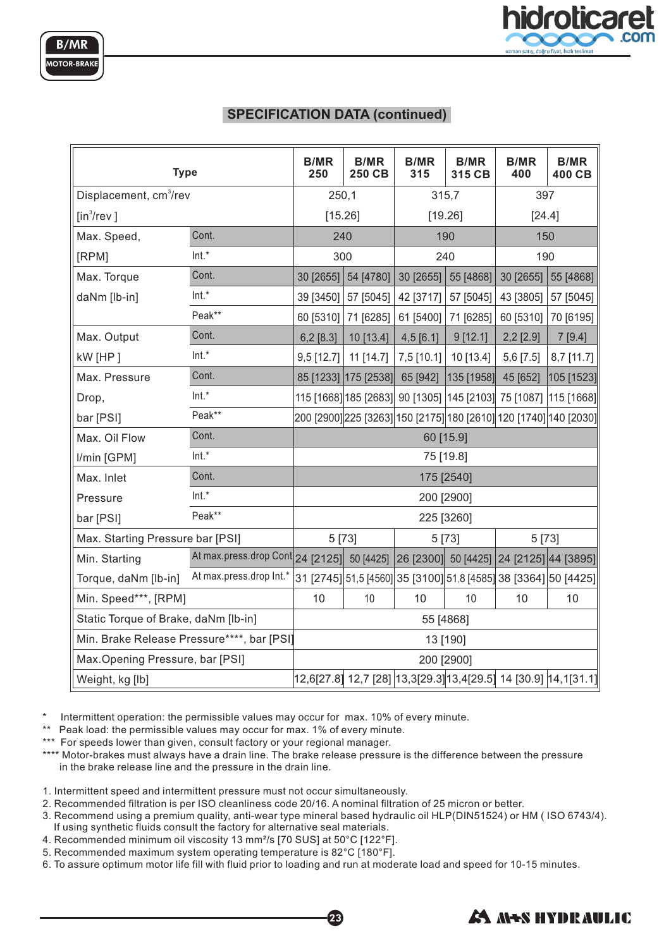

### **SPECIFICATION DATA (continued)**

| <b>Type</b>                                |                                                                                    | <b>B/MR</b><br>250 | <b>B/MR</b><br>250 CB | <b>B/MR</b><br>315 | <b>B/MR</b><br>315 CB | <b>B/MR</b><br>400                                              | <b>B/MR</b><br>400 CB                                             |
|--------------------------------------------|------------------------------------------------------------------------------------|--------------------|-----------------------|--------------------|-----------------------|-----------------------------------------------------------------|-------------------------------------------------------------------|
| Displacement, cm <sup>3</sup> /rev         |                                                                                    | 250,1              |                       | 315,7              |                       | 397                                                             |                                                                   |
| $[in^3$ /rev]                              |                                                                                    | [15.26]            |                       | [19.26]            |                       | [24.4]                                                          |                                                                   |
| Max. Speed,                                | Cont.                                                                              | 240                |                       | 190                |                       | 150                                                             |                                                                   |
| [RPM]                                      | $Int.*$                                                                            | 300                |                       | 240                |                       | 190                                                             |                                                                   |
| Max. Torque                                | Cont.                                                                              | 30 [2655]          | 54 [4780]             | 30 [2655]          | 55 [4868]             | 30 [2655]                                                       | 55 [4868]                                                         |
| daNm [lb-in]                               | Int.*                                                                              | 39 [3450]          | 57 [5045]             | 42 [3717]          | 57 [5045]             | 43 [3805]                                                       | 57 [5045]                                                         |
|                                            | Peak**                                                                             | 60 [5310]          | 71 [6285]             | 61 [5400]          | 71 [6285]             | 60 [5310]                                                       | 70 [6195]                                                         |
| Max. Output                                | Cont.                                                                              | 6,2[8.3]           | 10 [13.4]             | 4,5[6.1]           | 9[12.1]               | $2,2$ [2.9]                                                     | 7[9.4]                                                            |
| kW [HP]                                    | Int.*                                                                              | 9,5 [12.7]         | 11 [14.7]             | 7,5 [10.1]         | 10 [13.4]             | 5,6 [7.5]                                                       | 8,7 [11.7]                                                        |
| Max. Pressure                              | Cont.                                                                              |                    | 85 [1233] [175 [2538] | 65 [942]           | $ 135$ [1958]         | 45 [652]                                                        | 105 [1523]                                                        |
| Drop,                                      | Int.*                                                                              |                    |                       |                    |                       |                                                                 | 115 [1668] 185 [2683] 90 [1305] 145 [2103] 75 [1087] 115 [1668]   |
| bar [PSI]                                  | Peak**                                                                             |                    |                       |                    |                       |                                                                 | 200 [2900] 225 [3263] 150 [2175] 180 [2610] 120 [1740] 140 [2030] |
| Max. Oil Flow                              | Cont.                                                                              | 60 [15.9]          |                       |                    |                       |                                                                 |                                                                   |
| I/min [GPM]                                | Int.*                                                                              |                    |                       |                    | 75 [19.8]             |                                                                 |                                                                   |
| Max. Inlet                                 | Cont.                                                                              | 175 [2540]         |                       |                    |                       |                                                                 |                                                                   |
| Pressure                                   | Int.*                                                                              |                    |                       |                    | 200 [2900]            |                                                                 |                                                                   |
| bar [PSI]                                  | Peak**                                                                             |                    |                       |                    | 225 [3260]            |                                                                 |                                                                   |
| Max. Starting Pressure bar [PSI]           |                                                                                    |                    | 5 [73]                |                    | 5 [73]                | 5 [73]                                                          |                                                                   |
| Min. Starting                              | At max.press.drop Cont 24 [2125] 50 [4425] 26 [2300] 50 [4425] 24 [2125] 44 [3895] |                    |                       |                    |                       |                                                                 |                                                                   |
| Torque, daNm [lb-in]                       | At max.press.drop Int.*                                                            |                    |                       |                    |                       | 31 [2745] 51,5 [4560] 35 [3100] 51,8 [4585] 38 [3364] 50 [4425] |                                                                   |
| Min. Speed***, [RPM]                       |                                                                                    | 10                 | 10                    | 10                 | 10                    | 10                                                              | 10                                                                |
| Static Torque of Brake, daNm [lb-in]       |                                                                                    |                    |                       |                    | 55 [4868]             |                                                                 |                                                                   |
| Min. Brake Release Pressure****, bar [PSI] |                                                                                    |                    |                       |                    | 13 [190]              |                                                                 |                                                                   |
| Max.Opening Pressure, bar [PSI]            |                                                                                    |                    |                       |                    | 200 [2900]            |                                                                 |                                                                   |
| Weight, kg [lb]                            |                                                                                    |                    |                       |                    |                       |                                                                 | 12,6[27.8]  12,7 [28] 13,3[29.3] 13,4[29.5]  14 [30.9] 14,1[31.1] |

Intermittent operation: the permissible values may occur for max. 10% of every minute.

\*\* Peak load: the permissible values may occur for max. 1% of every minute.

\*\*\* For speeds lower than given, consult factory or your regional manager.

\*\*\*\* Motor-brakes must always have a drain line. The brake release pressure is the difference between the pressure in the brake release line and the pressure in the drain line.

1. Intermittent speed and intermittent pressure must not occur simultaneously.

2. Recommended filtration is per ISO cleanliness code 20/16. A nominal filtration of 25 micron or better.

3. Recommend using a premium quality, anti-wear type mineral based hydraulic oil HLP(DIN51524) or HM ( ISO 6743/4). If using synthetic fluids consult the factory for alternative seal materials.

23

- 4. Recommended minimum oil viscosity 13 mm²/s [70 SUS] at 50°C [122°F].
- 5. Recommended maximum system operating temperature is 82°C [180°F].

6. To assure optimum motor life fill with fluid prior to loading and run at moderate load and speed for 10-15 minutes.

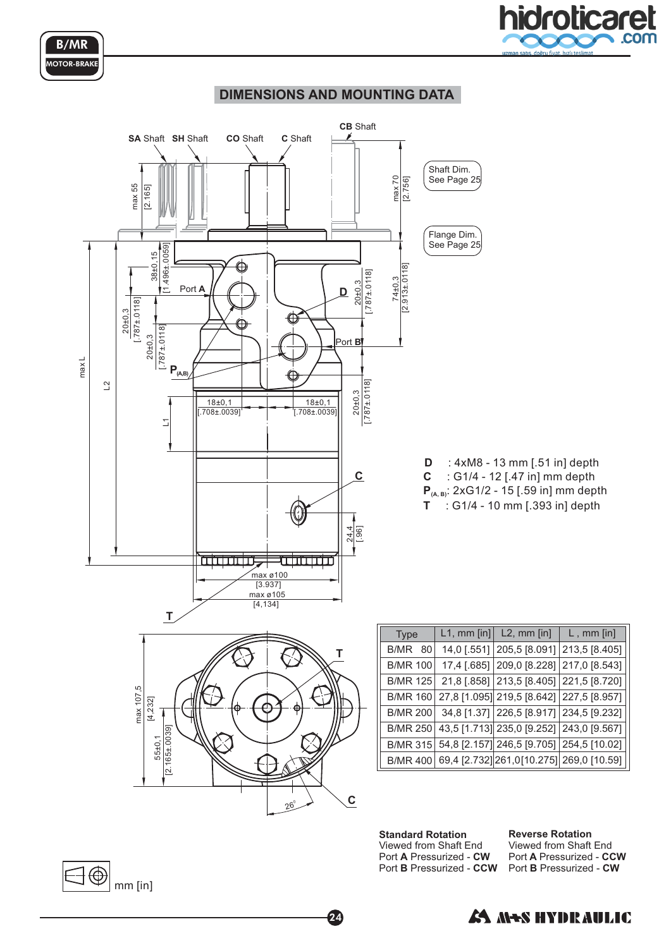



#### **DIMENSIONS AND MOUNTING DATA**



24

**Standard Rotation** Port A Pressurized - CW Port **B** Pressurized - CCW Viewed from Shaft End

**Reverse Rotation** Port A Pressurized - CCW Port **B** Pressurized - CW Viewed from Shaft End



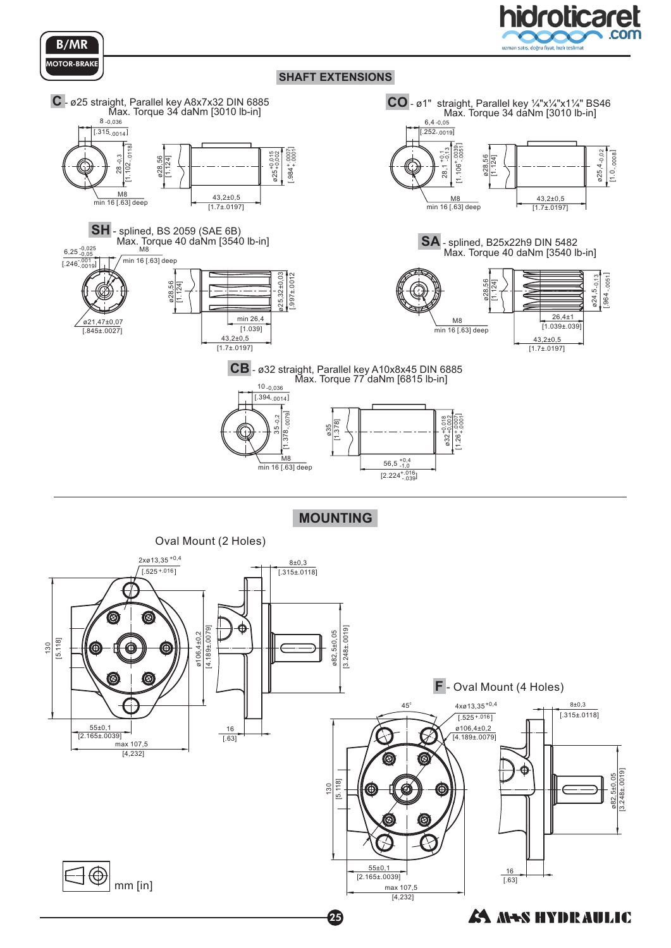



B/MR **OTOR-BRAKE** 



**MOUNTING**